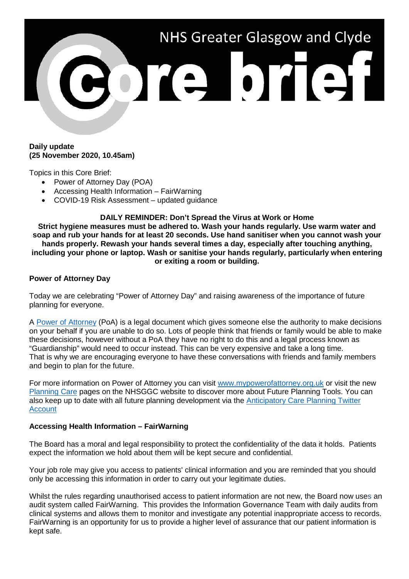

## **Daily update (25 November 2020, 10.45am)**

Topics in this Core Brief:

- Power of Attorney Day (POA)
- Accessing Health Information FairWarning
- COVID-19 Risk Assessment updated guidance

**DAILY REMINDER: Don't Spread the Virus at Work or Home**

**Strict hygiene measures must be adhered to. Wash your hands regularly. Use warm water and soap and rub your hands for at least 20 seconds. Use hand sanitiser when you cannot wash your hands properly. Rewash your hands several times a day, especially after touching anything, including your phone or laptop. Wash or sanitise your hands regularly, particularly when entering or exiting a room or building.**

## **Power of Attorney Day**

Today we are celebrating "Power of Attorney Day" and raising awareness of the importance of future planning for everyone.

A [Power of Attorney](https://www.nhsggc.org.uk/your-health/health-services/planning-care/planning-your-care/tools-to-help-you-plan/power-of-attorney/) (PoA) is a legal document which gives someone else the authority to make decisions on your behalf if you are unable to do so. Lots of people think that friends or family would be able to make these decisions, however without a PoA they have no right to do this and a legal process known as "Guardianship" would need to occur instead. This can be very expensive and take a long time. That is why we are encouraging everyone to have these conversations with friends and family members and begin to plan for the future.

For more information on Power of Attorney you can visit [www.mypowerofattorney.org.uk](http://www.mypowerofattorney.org.uk/) or visit the new [Planning Care](http://www.nhsggc.org.uk/planningcare) pages on the NHSGGC website to discover more about Future Planning Tools. You can also keep up to date with all future planning development via the **Anticipatory Care Planning Twitter** [Account](http://www.twitter.com/nhsggc_acp)

## **Accessing Health Information – FairWarning**

The Board has a moral and legal responsibility to protect the confidentiality of the data it holds. Patients expect the information we hold about them will be kept secure and confidential.

Your job role may give you access to patients' clinical information and you are reminded that you should only be accessing this information in order to carry out your legitimate duties.

Whilst the rules regarding unauthorised access to patient information are not new, the Board now uses an audit system called FairWarning. This provides the Information Governance Team with daily audits from clinical systems and allows them to monitor and investigate any potential inappropriate access to records. FairWarning is an opportunity for us to provide a higher level of assurance that our patient information is kept safe.